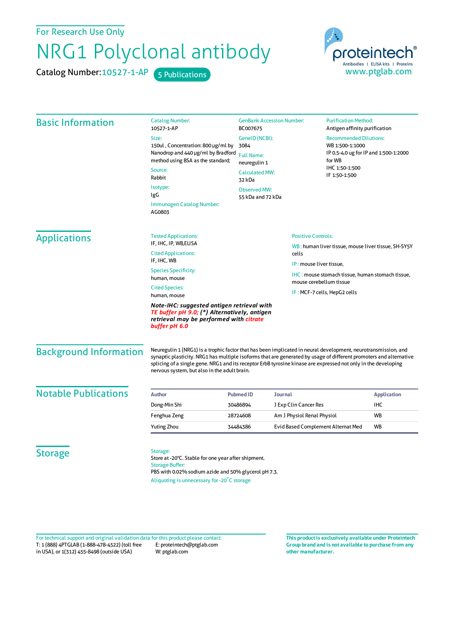For Research Use Only

## NRG1 Polyclonal antibody

Catalog Number: 10527-1-AP 5 Publications



| <b>Basic Information</b>      | <b>Catalog Number:</b><br>10527-1-AP                                                                                                                                                                                                                                                                                                                                                                   | <b>GenBank Accession Number:</b><br>BC007675<br>GeneID (NCBI):<br>3084<br><b>Full Name:</b><br>neuregulin 1<br><b>Calculated MW:</b> |                                                     | <b>Purification Method:</b><br>Antigen affinity purification<br><b>Recommended Dilutions:</b><br>WB 1:500-1:1000<br>IP 0.5-4.0 ug for IP and 1:500-1:2000<br>for WB<br>IHC 1:50-1:500 |                              |  |
|-------------------------------|--------------------------------------------------------------------------------------------------------------------------------------------------------------------------------------------------------------------------------------------------------------------------------------------------------------------------------------------------------------------------------------------------------|--------------------------------------------------------------------------------------------------------------------------------------|-----------------------------------------------------|---------------------------------------------------------------------------------------------------------------------------------------------------------------------------------------|------------------------------|--|
|                               | Size:                                                                                                                                                                                                                                                                                                                                                                                                  |                                                                                                                                      |                                                     |                                                                                                                                                                                       |                              |  |
|                               | 150ul, Concentration: 800 µg/ml by                                                                                                                                                                                                                                                                                                                                                                     |                                                                                                                                      |                                                     |                                                                                                                                                                                       |                              |  |
|                               | Nanodrop and 440 µg/ml by Bradford<br>method using BSA as the standard;                                                                                                                                                                                                                                                                                                                                |                                                                                                                                      |                                                     |                                                                                                                                                                                       |                              |  |
|                               | Source:                                                                                                                                                                                                                                                                                                                                                                                                |                                                                                                                                      |                                                     |                                                                                                                                                                                       |                              |  |
|                               | Rabbit                                                                                                                                                                                                                                                                                                                                                                                                 | 32 kDa                                                                                                                               |                                                     | IF 1:50-1:500                                                                                                                                                                         |                              |  |
|                               | Isotype:                                                                                                                                                                                                                                                                                                                                                                                               | <b>Observed MW:</b>                                                                                                                  |                                                     |                                                                                                                                                                                       |                              |  |
|                               | IgG                                                                                                                                                                                                                                                                                                                                                                                                    | 55 kDa and 72 kDa                                                                                                                    |                                                     |                                                                                                                                                                                       |                              |  |
|                               | <b>Immunogen Catalog Number:</b><br>AG0803                                                                                                                                                                                                                                                                                                                                                             |                                                                                                                                      |                                                     |                                                                                                                                                                                       |                              |  |
| <b>Applications</b>           | <b>Tested Applications:</b>                                                                                                                                                                                                                                                                                                                                                                            |                                                                                                                                      | <b>Positive Controls:</b>                           |                                                                                                                                                                                       |                              |  |
|                               | IF, IHC, IP, WB,ELISA<br><b>Cited Applications:</b><br>cells                                                                                                                                                                                                                                                                                                                                           |                                                                                                                                      | WB: human liver tissue, mouse liver tissue, SH-SY5Y |                                                                                                                                                                                       |                              |  |
|                               | IF, IHC, WB                                                                                                                                                                                                                                                                                                                                                                                            | IP: mouse liver tissue,                                                                                                              |                                                     |                                                                                                                                                                                       |                              |  |
|                               | <b>Species Specificity:</b><br>human, mouse                                                                                                                                                                                                                                                                                                                                                            |                                                                                                                                      | mouse cerebellum tissue                             | <b>IHC: mouse stomach tissue, human stomach tissue,</b>                                                                                                                               |                              |  |
|                               | <b>Cited Species:</b><br>human, mouse                                                                                                                                                                                                                                                                                                                                                                  |                                                                                                                                      |                                                     |                                                                                                                                                                                       | IF: MCF-7 cells, HepG2 cells |  |
|                               | Note-IHC: suggested antigen retrieval with<br>TE buffer pH 9.0; (*) Alternatively, antigen<br>retrieval may be performed with citrate<br>buffer pH 6.0                                                                                                                                                                                                                                                 |                                                                                                                                      |                                                     |                                                                                                                                                                                       |                              |  |
| <b>Background Information</b> | Neuregulin 1 (NRG1) is a trophic factor that has been implicated in neural development, neurotransmission, and<br>synaptic plasticity. NRG1 has multiple isoforms that are generated by usage of different promoters and alternative<br>splicing of a single gene. NRG1 and its receptor ErbB tyrosine kinase are expressed not only in the developing<br>nervous system, but also in the adult brain. |                                                                                                                                      |                                                     |                                                                                                                                                                                       |                              |  |
| <b>Notable Publications</b>   | <b>Author</b>                                                                                                                                                                                                                                                                                                                                                                                          | <b>Pubmed ID</b><br>Journal                                                                                                          |                                                     |                                                                                                                                                                                       | <b>Application</b>           |  |
|                               | Dong-Min Shi                                                                                                                                                                                                                                                                                                                                                                                           | 30486894                                                                                                                             | J Exp Clin Cancer Res                               |                                                                                                                                                                                       | IHC                          |  |
|                               | Fenghua Zeng                                                                                                                                                                                                                                                                                                                                                                                           | 28724608                                                                                                                             | Am J Physiol Renal Physiol                          |                                                                                                                                                                                       | WB                           |  |
|                               | Yuting Zhou                                                                                                                                                                                                                                                                                                                                                                                            | 34484386                                                                                                                             |                                                     | Evid Based Complement Alternat Med                                                                                                                                                    | <b>WB</b>                    |  |
| <b>Storage</b>                | Storage:<br>Store at -20°C. Stable for one year after shipment.<br><b>Storage Buffer:</b>                                                                                                                                                                                                                                                                                                              |                                                                                                                                      |                                                     |                                                                                                                                                                                       |                              |  |

T: 1 (888) 4PTGLAB (1-888-478-4522) (toll free in USA), or 1(312) 455-8498 (outside USA) E: proteintech@ptglab.com W: ptglab.com Fortechnical support and original validation data forthis product please contact: **This productis exclusively available under Proteintech**

**Group brand and is not available to purchase from any other manufacturer.**